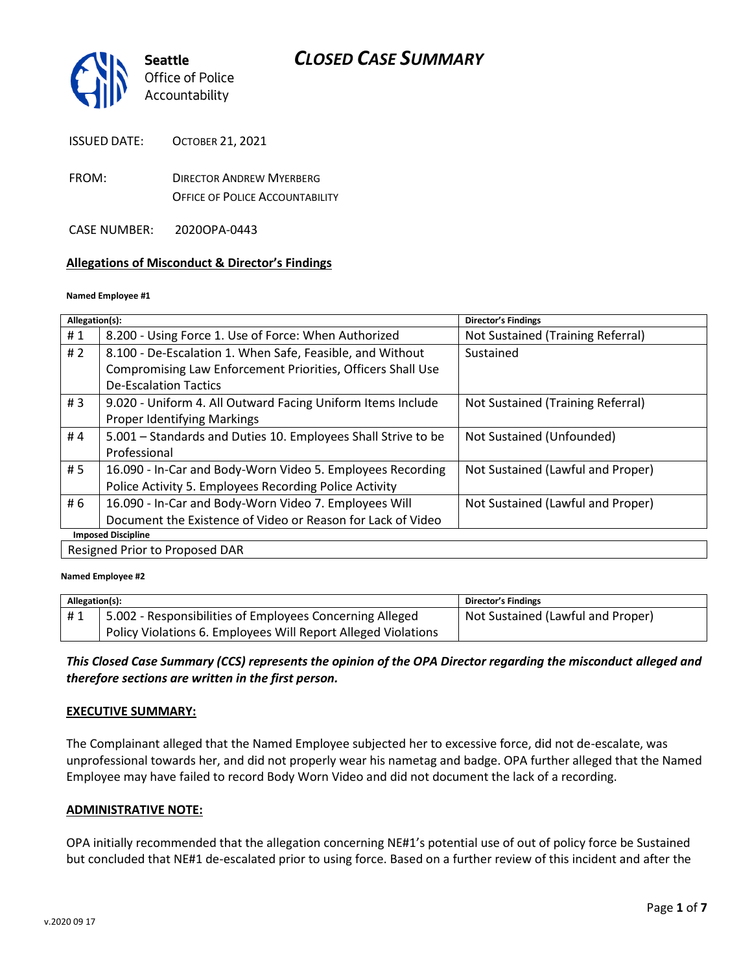

ISSUED DATE: OCTOBER 21, 2021

- FROM: DIRECTOR ANDREW MYERBERG OFFICE OF POLICE ACCOUNTABILITY
- CASE NUMBER: 2020OPA-0443

#### **Allegations of Misconduct & Director's Findings**

#### **Named Employee #1**

| Allegation(s):                 |                                                               | Director's Findings               |  |
|--------------------------------|---------------------------------------------------------------|-----------------------------------|--|
| #1                             | 8.200 - Using Force 1. Use of Force: When Authorized          | Not Sustained (Training Referral) |  |
| #2                             | 8.100 - De-Escalation 1. When Safe, Feasible, and Without     | Sustained                         |  |
|                                | Compromising Law Enforcement Priorities, Officers Shall Use   |                                   |  |
|                                | <b>De-Escalation Tactics</b>                                  |                                   |  |
| #3                             | 9.020 - Uniform 4. All Outward Facing Uniform Items Include   | Not Sustained (Training Referral) |  |
|                                | <b>Proper Identifying Markings</b>                            |                                   |  |
| #4                             | 5.001 – Standards and Duties 10. Employees Shall Strive to be | Not Sustained (Unfounded)         |  |
|                                | Professional                                                  |                                   |  |
| # 5                            | 16.090 - In-Car and Body-Worn Video 5. Employees Recording    | Not Sustained (Lawful and Proper) |  |
|                                | Police Activity 5. Employees Recording Police Activity        |                                   |  |
| # 6                            | 16.090 - In-Car and Body-Worn Video 7. Employees Will         | Not Sustained (Lawful and Proper) |  |
|                                | Document the Existence of Video or Reason for Lack of Video   |                                   |  |
| <b>Imposed Discipline</b>      |                                                               |                                   |  |
| Resigned Prior to Proposed DAR |                                                               |                                   |  |

#### **Named Employee #2**

| Allegation(s): |                                                               | <b>Director's Findings</b>        |
|----------------|---------------------------------------------------------------|-----------------------------------|
| #1             | 5.002 - Responsibilities of Employees Concerning Alleged      | Not Sustained (Lawful and Proper) |
|                | Policy Violations 6. Employees Will Report Alleged Violations |                                   |

*This Closed Case Summary (CCS) represents the opinion of the OPA Director regarding the misconduct alleged and therefore sections are written in the first person.* 

#### **EXECUTIVE SUMMARY:**

The Complainant alleged that the Named Employee subjected her to excessive force, did not de-escalate, was unprofessional towards her, and did not properly wear his nametag and badge. OPA further alleged that the Named Employee may have failed to record Body Worn Video and did not document the lack of a recording.

#### **ADMINISTRATIVE NOTE:**

OPA initially recommended that the allegation concerning NE#1's potential use of out of policy force be Sustained but concluded that NE#1 de-escalated prior to using force. Based on a further review of this incident and after the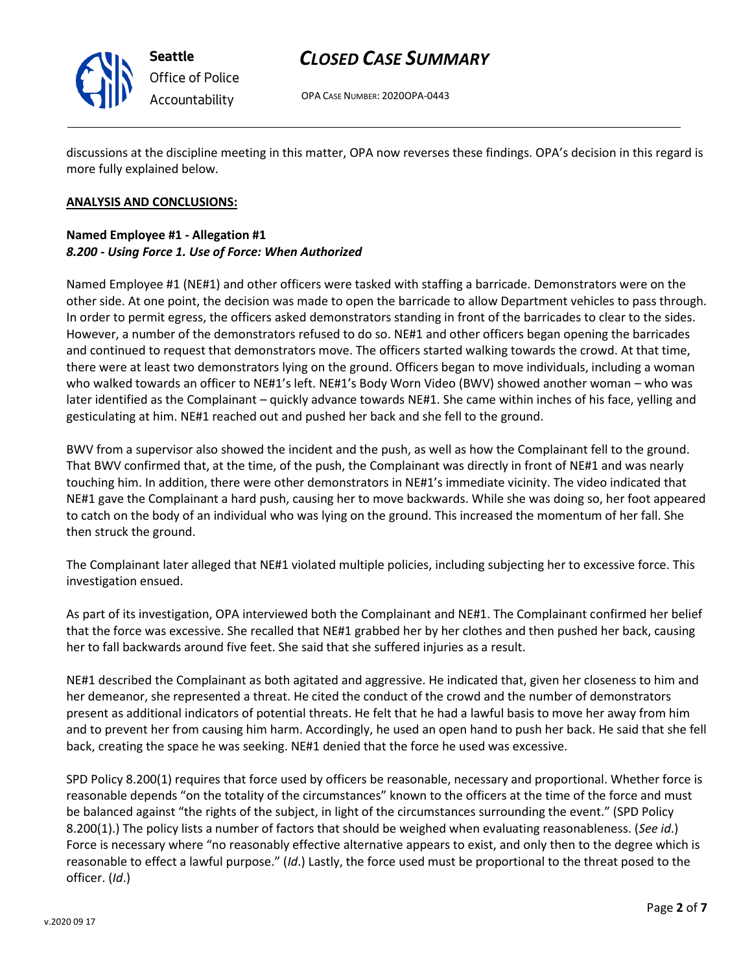

**Seattle** *Office of Police Accountability*

## *CLOSED CASE SUMMARY*

OPA CASE NUMBER: 2020OPA-0443

discussions at the discipline meeting in this matter, OPA now reverses these findings. OPA's decision in this regard is more fully explained below.

### **ANALYSIS AND CONCLUSIONS:**

#### **Named Employee #1 - Allegation #1** *8.200 - Using Force 1. Use of Force: When Authorized*

Named Employee #1 (NE#1) and other officers were tasked with staffing a barricade. Demonstrators were on the other side. At one point, the decision was made to open the barricade to allow Department vehicles to pass through. In order to permit egress, the officers asked demonstrators standing in front of the barricades to clear to the sides. However, a number of the demonstrators refused to do so. NE#1 and other officers began opening the barricades and continued to request that demonstrators move. The officers started walking towards the crowd. At that time, there were at least two demonstrators lying on the ground. Officers began to move individuals, including a woman who walked towards an officer to NE#1's left. NE#1's Body Worn Video (BWV) showed another woman – who was later identified as the Complainant – quickly advance towards NE#1. She came within inches of his face, yelling and gesticulating at him. NE#1 reached out and pushed her back and she fell to the ground.

BWV from a supervisor also showed the incident and the push, as well as how the Complainant fell to the ground. That BWV confirmed that, at the time, of the push, the Complainant was directly in front of NE#1 and was nearly touching him. In addition, there were other demonstrators in NE#1's immediate vicinity. The video indicated that NE#1 gave the Complainant a hard push, causing her to move backwards. While she was doing so, her foot appeared to catch on the body of an individual who was lying on the ground. This increased the momentum of her fall. She then struck the ground.

The Complainant later alleged that NE#1 violated multiple policies, including subjecting her to excessive force. This investigation ensued.

As part of its investigation, OPA interviewed both the Complainant and NE#1. The Complainant confirmed her belief that the force was excessive. She recalled that NE#1 grabbed her by her clothes and then pushed her back, causing her to fall backwards around five feet. She said that she suffered injuries as a result.

NE#1 described the Complainant as both agitated and aggressive. He indicated that, given her closeness to him and her demeanor, she represented a threat. He cited the conduct of the crowd and the number of demonstrators present as additional indicators of potential threats. He felt that he had a lawful basis to move her away from him and to prevent her from causing him harm. Accordingly, he used an open hand to push her back. He said that she fell back, creating the space he was seeking. NE#1 denied that the force he used was excessive.

SPD Policy 8.200(1) requires that force used by officers be reasonable, necessary and proportional. Whether force is reasonable depends "on the totality of the circumstances" known to the officers at the time of the force and must be balanced against "the rights of the subject, in light of the circumstances surrounding the event." (SPD Policy 8.200(1).) The policy lists a number of factors that should be weighed when evaluating reasonableness. (*See id*.) Force is necessary where "no reasonably effective alternative appears to exist, and only then to the degree which is reasonable to effect a lawful purpose." (*Id*.) Lastly, the force used must be proportional to the threat posed to the officer. (*Id*.)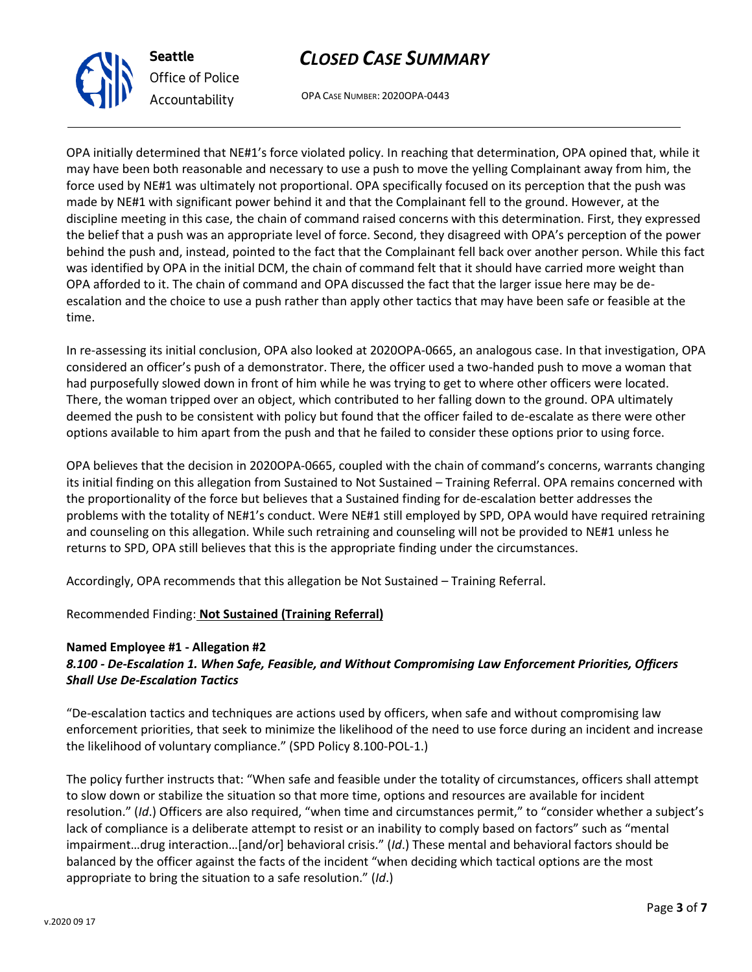

**Seattle** *Office of Police Accountability*

## *CLOSED CASE SUMMARY*

OPA CASE NUMBER: 2020OPA-0443

OPA initially determined that NE#1's force violated policy. In reaching that determination, OPA opined that, while it may have been both reasonable and necessary to use a push to move the yelling Complainant away from him, the force used by NE#1 was ultimately not proportional. OPA specifically focused on its perception that the push was made by NE#1 with significant power behind it and that the Complainant fell to the ground. However, at the discipline meeting in this case, the chain of command raised concerns with this determination. First, they expressed the belief that a push was an appropriate level of force. Second, they disagreed with OPA's perception of the power behind the push and, instead, pointed to the fact that the Complainant fell back over another person. While this fact was identified by OPA in the initial DCM, the chain of command felt that it should have carried more weight than OPA afforded to it. The chain of command and OPA discussed the fact that the larger issue here may be deescalation and the choice to use a push rather than apply other tactics that may have been safe or feasible at the time.

In re-assessing its initial conclusion, OPA also looked at 2020OPA-0665, an analogous case. In that investigation, OPA considered an officer's push of a demonstrator. There, the officer used a two-handed push to move a woman that had purposefully slowed down in front of him while he was trying to get to where other officers were located. There, the woman tripped over an object, which contributed to her falling down to the ground. OPA ultimately deemed the push to be consistent with policy but found that the officer failed to de-escalate as there were other options available to him apart from the push and that he failed to consider these options prior to using force.

OPA believes that the decision in 2020OPA-0665, coupled with the chain of command's concerns, warrants changing its initial finding on this allegation from Sustained to Not Sustained – Training Referral. OPA remains concerned with the proportionality of the force but believes that a Sustained finding for de-escalation better addresses the problems with the totality of NE#1's conduct. Were NE#1 still employed by SPD, OPA would have required retraining and counseling on this allegation. While such retraining and counseling will not be provided to NE#1 unless he returns to SPD, OPA still believes that this is the appropriate finding under the circumstances.

Accordingly, OPA recommends that this allegation be Not Sustained – Training Referral.

## Recommended Finding: **Not Sustained (Training Referral)**

## **Named Employee #1 - Allegation #2**

## *8.100 - De-Escalation 1. When Safe, Feasible, and Without Compromising Law Enforcement Priorities, Officers Shall Use De-Escalation Tactics*

"De-escalation tactics and techniques are actions used by officers, when safe and without compromising law enforcement priorities, that seek to minimize the likelihood of the need to use force during an incident and increase the likelihood of voluntary compliance." (SPD Policy 8.100-POL-1.)

The policy further instructs that: "When safe and feasible under the totality of circumstances, officers shall attempt to slow down or stabilize the situation so that more time, options and resources are available for incident resolution." (*Id*.) Officers are also required, "when time and circumstances permit," to "consider whether a subject's lack of compliance is a deliberate attempt to resist or an inability to comply based on factors" such as "mental impairment…drug interaction…[and/or] behavioral crisis." (*Id*.) These mental and behavioral factors should be balanced by the officer against the facts of the incident "when deciding which tactical options are the most appropriate to bring the situation to a safe resolution." (*Id*.)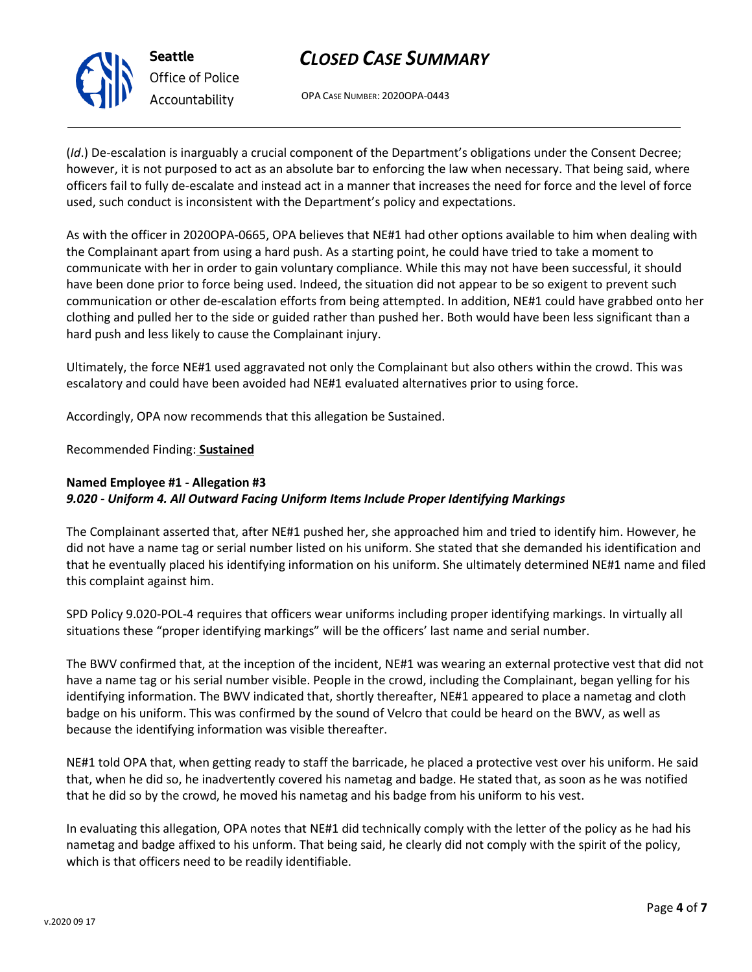OPA CASE NUMBER: 2020OPA-0443

(*Id*.) De-escalation is inarguably a crucial component of the Department's obligations under the Consent Decree; however, it is not purposed to act as an absolute bar to enforcing the law when necessary. That being said, where officers fail to fully de-escalate and instead act in a manner that increases the need for force and the level of force used, such conduct is inconsistent with the Department's policy and expectations.

As with the officer in 2020OPA-0665, OPA believes that NE#1 had other options available to him when dealing with the Complainant apart from using a hard push. As a starting point, he could have tried to take a moment to communicate with her in order to gain voluntary compliance. While this may not have been successful, it should have been done prior to force being used. Indeed, the situation did not appear to be so exigent to prevent such communication or other de-escalation efforts from being attempted. In addition, NE#1 could have grabbed onto her clothing and pulled her to the side or guided rather than pushed her. Both would have been less significant than a hard push and less likely to cause the Complainant injury.

Ultimately, the force NE#1 used aggravated not only the Complainant but also others within the crowd. This was escalatory and could have been avoided had NE#1 evaluated alternatives prior to using force.

Accordingly, OPA now recommends that this allegation be Sustained.

Recommended Finding: **Sustained**

## **Named Employee #1 - Allegation #3** *9.020 - Uniform 4. All Outward Facing Uniform Items Include Proper Identifying Markings*

The Complainant asserted that, after NE#1 pushed her, she approached him and tried to identify him. However, he did not have a name tag or serial number listed on his uniform. She stated that she demanded his identification and that he eventually placed his identifying information on his uniform. She ultimately determined NE#1 name and filed this complaint against him.

SPD Policy 9.020-POL-4 requires that officers wear uniforms including proper identifying markings. In virtually all situations these "proper identifying markings" will be the officers' last name and serial number.

The BWV confirmed that, at the inception of the incident, NE#1 was wearing an external protective vest that did not have a name tag or his serial number visible. People in the crowd, including the Complainant, began yelling for his identifying information. The BWV indicated that, shortly thereafter, NE#1 appeared to place a nametag and cloth badge on his uniform. This was confirmed by the sound of Velcro that could be heard on the BWV, as well as because the identifying information was visible thereafter.

NE#1 told OPA that, when getting ready to staff the barricade, he placed a protective vest over his uniform. He said that, when he did so, he inadvertently covered his nametag and badge. He stated that, as soon as he was notified that he did so by the crowd, he moved his nametag and his badge from his uniform to his vest.

In evaluating this allegation, OPA notes that NE#1 did technically comply with the letter of the policy as he had his nametag and badge affixed to his unform. That being said, he clearly did not comply with the spirit of the policy, which is that officers need to be readily identifiable.



**Seattle** *Office of Police Accountability*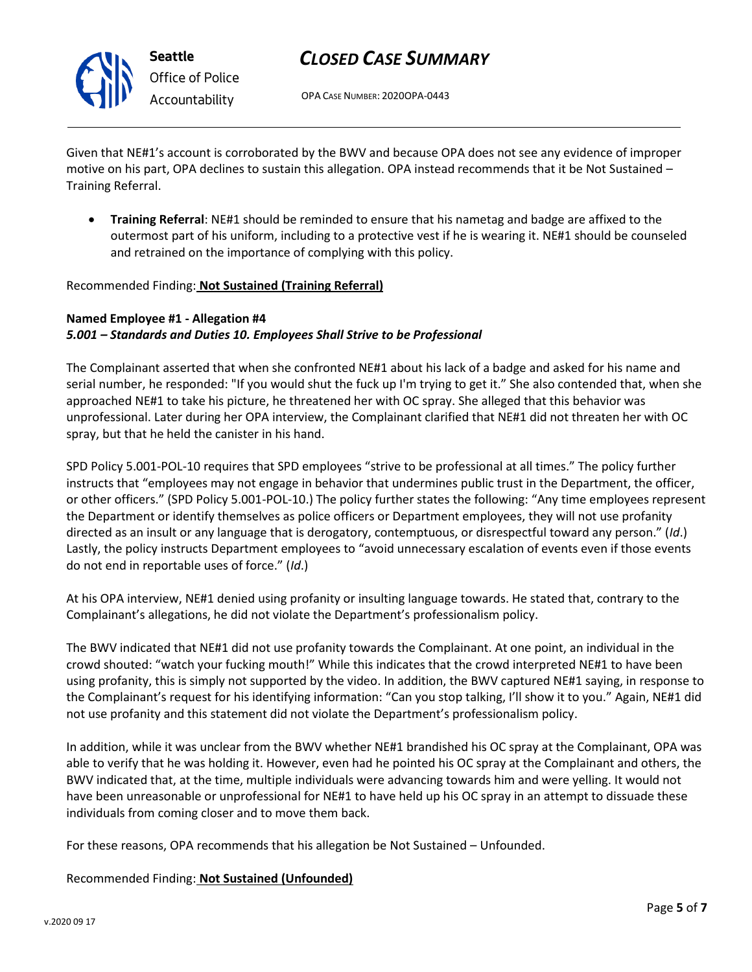

OPA CASE NUMBER: 2020OPA-0443

Given that NE#1's account is corroborated by the BWV and because OPA does not see any evidence of improper motive on his part, OPA declines to sustain this allegation. OPA instead recommends that it be Not Sustained – Training Referral.

• **Training Referral**: NE#1 should be reminded to ensure that his nametag and badge are affixed to the outermost part of his uniform, including to a protective vest if he is wearing it. NE#1 should be counseled and retrained on the importance of complying with this policy.

### Recommended Finding: **Not Sustained (Training Referral)**

### **Named Employee #1 - Allegation #4** *5.001 – Standards and Duties 10. Employees Shall Strive to be Professional*

The Complainant asserted that when she confronted NE#1 about his lack of a badge and asked for his name and serial number, he responded: "If you would shut the fuck up I'm trying to get it." She also contended that, when she approached NE#1 to take his picture, he threatened her with OC spray. She alleged that this behavior was unprofessional. Later during her OPA interview, the Complainant clarified that NE#1 did not threaten her with OC spray, but that he held the canister in his hand.

SPD Policy 5.001-POL-10 requires that SPD employees "strive to be professional at all times." The policy further instructs that "employees may not engage in behavior that undermines public trust in the Department, the officer, or other officers." (SPD Policy 5.001-POL-10.) The policy further states the following: "Any time employees represent the Department or identify themselves as police officers or Department employees, they will not use profanity directed as an insult or any language that is derogatory, contemptuous, or disrespectful toward any person." (*Id*.) Lastly, the policy instructs Department employees to "avoid unnecessary escalation of events even if those events do not end in reportable uses of force." (*Id*.)

At his OPA interview, NE#1 denied using profanity or insulting language towards. He stated that, contrary to the Complainant's allegations, he did not violate the Department's professionalism policy.

The BWV indicated that NE#1 did not use profanity towards the Complainant. At one point, an individual in the crowd shouted: "watch your fucking mouth!" While this indicates that the crowd interpreted NE#1 to have been using profanity, this is simply not supported by the video. In addition, the BWV captured NE#1 saying, in response to the Complainant's request for his identifying information: "Can you stop talking, I'll show it to you." Again, NE#1 did not use profanity and this statement did not violate the Department's professionalism policy.

In addition, while it was unclear from the BWV whether NE#1 brandished his OC spray at the Complainant, OPA was able to verify that he was holding it. However, even had he pointed his OC spray at the Complainant and others, the BWV indicated that, at the time, multiple individuals were advancing towards him and were yelling. It would not have been unreasonable or unprofessional for NE#1 to have held up his OC spray in an attempt to dissuade these individuals from coming closer and to move them back.

For these reasons, OPA recommends that his allegation be Not Sustained – Unfounded.

Recommended Finding: **Not Sustained (Unfounded)**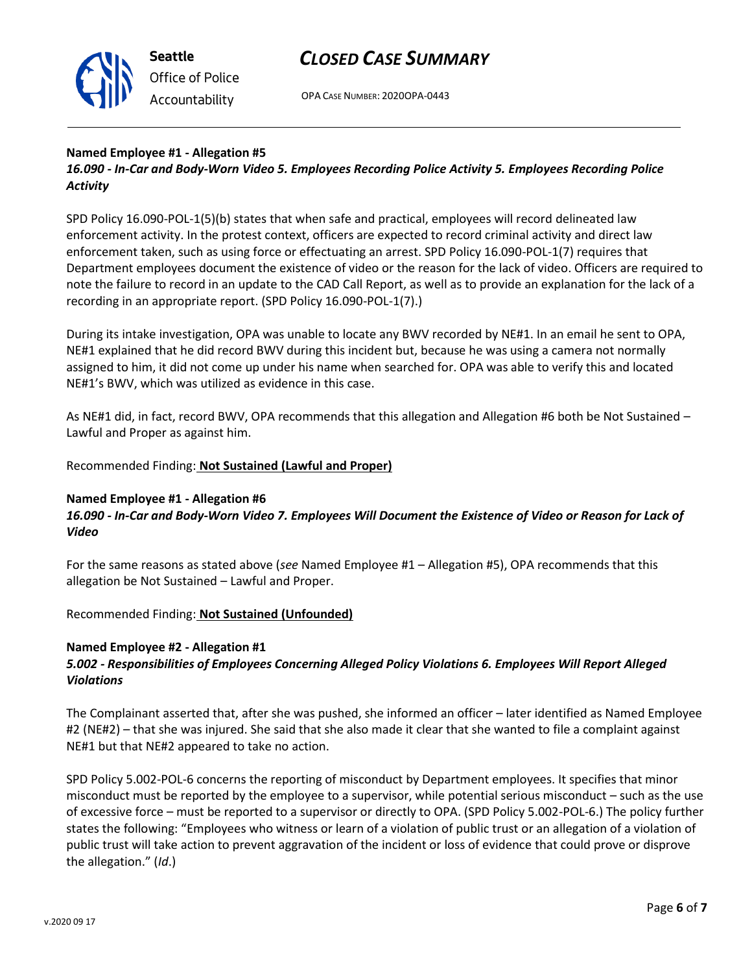

OPA CASE NUMBER: 2020OPA-0443

#### **Named Employee #1 - Allegation #5**

*16.090 - In-Car and Body-Worn Video 5. Employees Recording Police Activity 5. Employees Recording Police Activity*

SPD Policy 16.090-POL-1(5)(b) states that when safe and practical, employees will record delineated law enforcement activity. In the protest context, officers are expected to record criminal activity and direct law enforcement taken, such as using force or effectuating an arrest. SPD Policy 16.090-POL-1(7) requires that Department employees document the existence of video or the reason for the lack of video. Officers are required to note the failure to record in an update to the CAD Call Report, as well as to provide an explanation for the lack of a recording in an appropriate report. (SPD Policy 16.090-POL-1(7).)

During its intake investigation, OPA was unable to locate any BWV recorded by NE#1. In an email he sent to OPA, NE#1 explained that he did record BWV during this incident but, because he was using a camera not normally assigned to him, it did not come up under his name when searched for. OPA was able to verify this and located NE#1's BWV, which was utilized as evidence in this case.

As NE#1 did, in fact, record BWV, OPA recommends that this allegation and Allegation #6 both be Not Sustained – Lawful and Proper as against him.

### Recommended Finding: **Not Sustained (Lawful and Proper)**

#### **Named Employee #1 - Allegation #6**

### *16.090 - In-Car and Body-Worn Video 7. Employees Will Document the Existence of Video or Reason for Lack of Video*

For the same reasons as stated above (*see* Named Employee #1 – Allegation #5), OPA recommends that this allegation be Not Sustained – Lawful and Proper.

Recommended Finding: **Not Sustained (Unfounded)**

#### **Named Employee #2 - Allegation #1**

### *5.002 - Responsibilities of Employees Concerning Alleged Policy Violations 6. Employees Will Report Alleged Violations*

The Complainant asserted that, after she was pushed, she informed an officer – later identified as Named Employee #2 (NE#2) – that she was injured. She said that she also made it clear that she wanted to file a complaint against NE#1 but that NE#2 appeared to take no action.

SPD Policy 5.002-POL-6 concerns the reporting of misconduct by Department employees. It specifies that minor misconduct must be reported by the employee to a supervisor, while potential serious misconduct – such as the use of excessive force – must be reported to a supervisor or directly to OPA. (SPD Policy 5.002-POL-6.) The policy further states the following: "Employees who witness or learn of a violation of public trust or an allegation of a violation of public trust will take action to prevent aggravation of the incident or loss of evidence that could prove or disprove the allegation." (*Id*.)